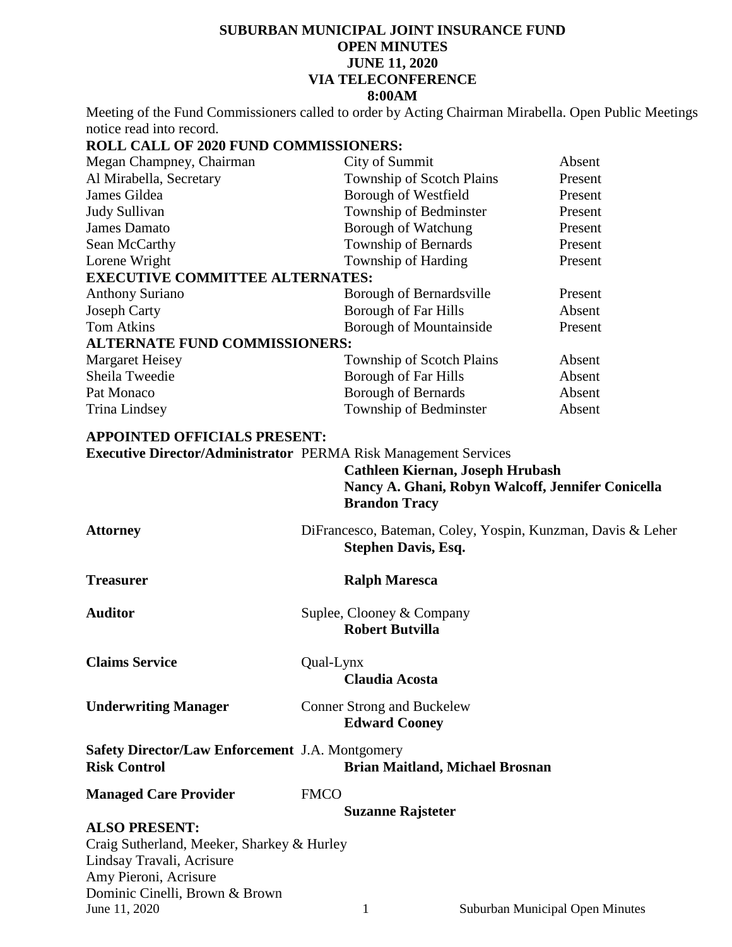## **SUBURBAN MUNICIPAL JOINT INSURANCE FUND OPEN MINUTES JUNE 11, 2020 VIA TELECONFERENCE 8:00AM**

Meeting of the Fund Commissioners called to order by Acting Chairman Mirabella. Open Public Meetings notice read into record.

## **ROLL CALL OF 2020 FUND COMMISSIONERS:**

| City of Summit                         | Absent  |  |  |
|----------------------------------------|---------|--|--|
| Township of Scotch Plains              | Present |  |  |
| Borough of Westfield                   | Present |  |  |
| Township of Bedminster                 | Present |  |  |
| Borough of Watchung                    | Present |  |  |
| <b>Township of Bernards</b>            | Present |  |  |
| Township of Harding                    | Present |  |  |
| <b>EXECUTIVE COMMITTEE ALTERNATES:</b> |         |  |  |
| Borough of Bernardsville               | Present |  |  |
| <b>Borough of Far Hills</b>            | Absent  |  |  |
| <b>Borough of Mountainside</b>         | Present |  |  |
| <b>ALTERNATE FUND COMMISSIONERS:</b>   |         |  |  |
| Township of Scotch Plains              | Absent  |  |  |
| <b>Borough of Far Hills</b>            | Absent  |  |  |
| <b>Borough of Bernards</b>             | Absent  |  |  |
| Township of Bedminster                 | Absent  |  |  |
|                                        |         |  |  |

## **APPOINTED OFFICIALS PRESENT:**

**Executive Director/Administrator** PERMA Risk Management Services **Cathleen Kiernan, Joseph Hrubash**

|                                                                               |             | <b>Brandon Tracy</b>                                      | Cathleen Kiernan, Joseph Hrubash<br>Nancy A. Ghani, Robyn Walcoff, Jennifer Conicella |
|-------------------------------------------------------------------------------|-------------|-----------------------------------------------------------|---------------------------------------------------------------------------------------|
| <b>Attorney</b>                                                               |             | <b>Stephen Davis, Esq.</b>                                | DiFrancesco, Bateman, Coley, Yospin, Kunzman, Davis & Leher                           |
| <b>Treasurer</b>                                                              |             | <b>Ralph Maresca</b>                                      |                                                                                       |
| <b>Auditor</b>                                                                |             | Suplee, Clooney & Company<br><b>Robert Butvilla</b>       |                                                                                       |
| <b>Claims Service</b>                                                         | Qual-Lynx   | <b>Claudia Acosta</b>                                     |                                                                                       |
| <b>Underwriting Manager</b>                                                   |             | <b>Conner Strong and Buckelew</b><br><b>Edward Cooney</b> |                                                                                       |
| <b>Safety Director/Law Enforcement J.A. Montgomery</b><br><b>Risk Control</b> |             |                                                           | <b>Brian Maitland, Michael Brosnan</b>                                                |
| <b>Managed Care Provider</b>                                                  | <b>FMCO</b> |                                                           |                                                                                       |
|                                                                               |             | <b>Suzanne Rajsteter</b>                                  |                                                                                       |
| <b>ALSO PRESENT:</b>                                                          |             |                                                           |                                                                                       |
| Craig Sutherland, Meeker, Sharkey & Hurley                                    |             |                                                           |                                                                                       |
| Lindsay Travali, Acrisure                                                     |             |                                                           |                                                                                       |
| Amy Pieroni, Acrisure                                                         |             |                                                           |                                                                                       |
| Dominic Cinelli, Brown & Brown<br>June 11, 2020                               |             | 1                                                         | Suburban Municipal Open Minutes                                                       |
|                                                                               |             |                                                           |                                                                                       |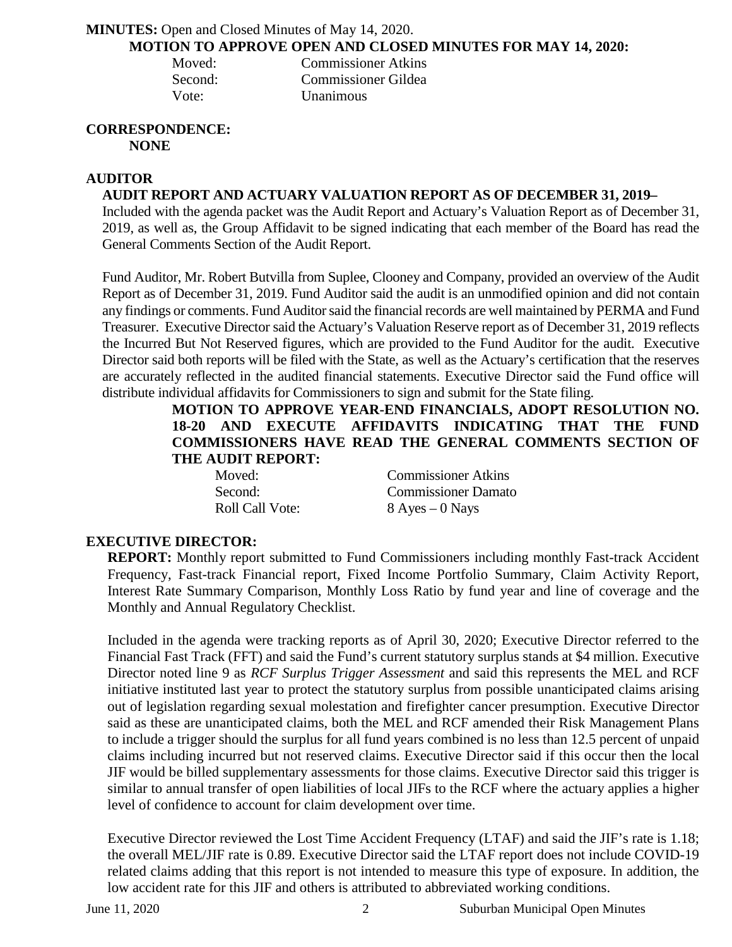## **MINUTES:** Open and Closed Minutes of May 14, 2020. **MOTION TO APPROVE OPEN AND CLOSED MINUTES FOR MAY 14, 2020:**

| Moved:  | <b>Commissioner Atkins</b> |
|---------|----------------------------|
| Second: | Commissioner Gildea        |
| Vote:   | <b>Unanimous</b>           |

# **CORRESPONDENCE:**

**NONE**

## **AUDITOR**

## **AUDIT REPORT AND ACTUARY VALUATION REPORT AS OF DECEMBER 31, 2019–**

Included with the agenda packet was the Audit Report and Actuary's Valuation Report as of December 31, 2019, as well as, the Group Affidavit to be signed indicating that each member of the Board has read the General Comments Section of the Audit Report.

Fund Auditor, Mr. Robert Butvilla from Suplee, Clooney and Company, provided an overview of the Audit Report as of December 31, 2019. Fund Auditor said the audit is an unmodified opinion and did not contain any findings or comments. Fund Auditor said the financial records are well maintained by PERMA and Fund Treasurer. Executive Director said the Actuary's Valuation Reserve report as of December 31, 2019 reflects the Incurred But Not Reserved figures, which are provided to the Fund Auditor for the audit. Executive Director said both reports will be filed with the State, as well as the Actuary's certification that the reserves are accurately reflected in the audited financial statements. Executive Director said the Fund office will distribute individual affidavits for Commissioners to sign and submit for the State filing.

## **MOTION TO APPROVE YEAR-END FINANCIALS, ADOPT RESOLUTION NO. 18-20 AND EXECUTE AFFIDAVITS INDICATING THAT THE FUND COMMISSIONERS HAVE READ THE GENERAL COMMENTS SECTION OF THE AUDIT REPORT:**

| Moved:          | <b>Commissioner Atkins</b> |
|-----------------|----------------------------|
| Second:         | <b>Commissioner Damato</b> |
| Roll Call Vote: | $8$ Ayes $-0$ Nays         |

## **EXECUTIVE DIRECTOR:**

**REPORT:** Monthly report submitted to Fund Commissioners including monthly Fast-track Accident Frequency, Fast-track Financial report, Fixed Income Portfolio Summary, Claim Activity Report, Interest Rate Summary Comparison, Monthly Loss Ratio by fund year and line of coverage and the Monthly and Annual Regulatory Checklist.

Included in the agenda were tracking reports as of April 30, 2020; Executive Director referred to the Financial Fast Track (FFT) and said the Fund's current statutory surplus stands at \$4 million. Executive Director noted line 9 as *RCF Surplus Trigger Assessment* and said this represents the MEL and RCF initiative instituted last year to protect the statutory surplus from possible unanticipated claims arising out of legislation regarding sexual molestation and firefighter cancer presumption. Executive Director said as these are unanticipated claims, both the MEL and RCF amended their Risk Management Plans to include a trigger should the surplus for all fund years combined is no less than 12.5 percent of unpaid claims including incurred but not reserved claims. Executive Director said if this occur then the local JIF would be billed supplementary assessments for those claims. Executive Director said this trigger is similar to annual transfer of open liabilities of local JIFs to the RCF where the actuary applies a higher level of confidence to account for claim development over time.

Executive Director reviewed the Lost Time Accident Frequency (LTAF) and said the JIF's rate is 1.18; the overall MEL/JIF rate is 0.89. Executive Director said the LTAF report does not include COVID-19 related claims adding that this report is not intended to measure this type of exposure. In addition, the low accident rate for this JIF and others is attributed to abbreviated working conditions.

June 11, 2020 2 Suburban Municipal Open Minutes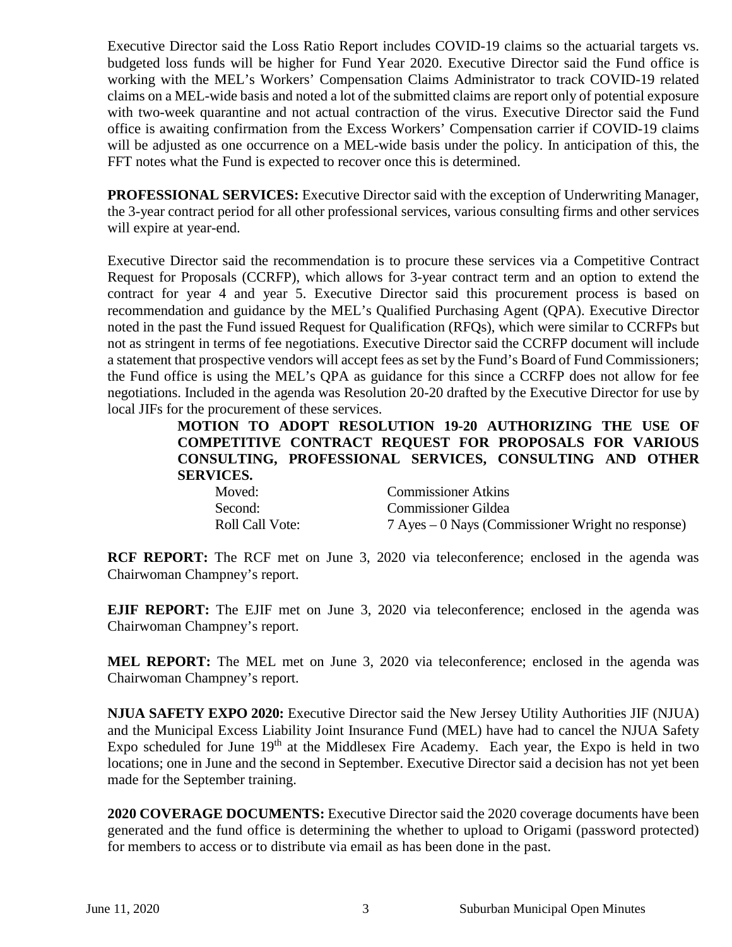Executive Director said the Loss Ratio Report includes COVID-19 claims so the actuarial targets vs. budgeted loss funds will be higher for Fund Year 2020. Executive Director said the Fund office is working with the MEL's Workers' Compensation Claims Administrator to track COVID-19 related claims on a MEL-wide basis and noted a lot of the submitted claims are report only of potential exposure with two-week quarantine and not actual contraction of the virus. Executive Director said the Fund office is awaiting confirmation from the Excess Workers' Compensation carrier if COVID-19 claims will be adjusted as one occurrence on a MEL-wide basis under the policy. In anticipation of this, the FFT notes what the Fund is expected to recover once this is determined.

**PROFESSIONAL SERVICES:** Executive Director said with the exception of Underwriting Manager, the 3-year contract period for all other professional services, various consulting firms and other services will expire at year-end.

Executive Director said the recommendation is to procure these services via a Competitive Contract Request for Proposals (CCRFP), which allows for 3-year contract term and an option to extend the contract for year 4 and year 5. Executive Director said this procurement process is based on recommendation and guidance by the MEL's Qualified Purchasing Agent (QPA). Executive Director noted in the past the Fund issued Request for Qualification (RFQs), which were similar to CCRFPs but not as stringent in terms of fee negotiations. Executive Director said the CCRFP document will include a statement that prospective vendors will accept fees as set by the Fund's Board of Fund Commissioners; the Fund office is using the MEL's QPA as guidance for this since a CCRFP does not allow for fee negotiations. Included in the agenda was Resolution 20-20 drafted by the Executive Director for use by local JIFs for the procurement of these services.

**MOTION TO ADOPT RESOLUTION 19-20 AUTHORIZING THE USE OF COMPETITIVE CONTRACT REQUEST FOR PROPOSALS FOR VARIOUS CONSULTING, PROFESSIONAL SERVICES, CONSULTING AND OTHER SERVICES.** 

| Moved:          | <b>Commissioner Atkins</b>                        |
|-----------------|---------------------------------------------------|
| Second:         | <b>Commissioner Gildea</b>                        |
| Roll Call Vote: | 7 Ayes – 0 Nays (Commissioner Wright no response) |

**RCF REPORT:** The RCF met on June 3, 2020 via teleconference; enclosed in the agenda was Chairwoman Champney's report.

**EJIF REPORT:** The EJIF met on June 3, 2020 via teleconference; enclosed in the agenda was Chairwoman Champney's report.

**MEL REPORT:** The MEL met on June 3, 2020 via teleconference; enclosed in the agenda was Chairwoman Champney's report.

**NJUA SAFETY EXPO 2020:** Executive Director said the New Jersey Utility Authorities JIF (NJUA) and the Municipal Excess Liability Joint Insurance Fund (MEL) have had to cancel the NJUA Safety Expo scheduled for June  $19<sup>th</sup>$  at the Middlesex Fire Academy. Each year, the Expo is held in two locations; one in June and the second in September. Executive Director said a decision has not yet been made for the September training.

**2020 COVERAGE DOCUMENTS:** Executive Director said the 2020 coverage documents have been generated and the fund office is determining the whether to upload to Origami (password protected) for members to access or to distribute via email as has been done in the past.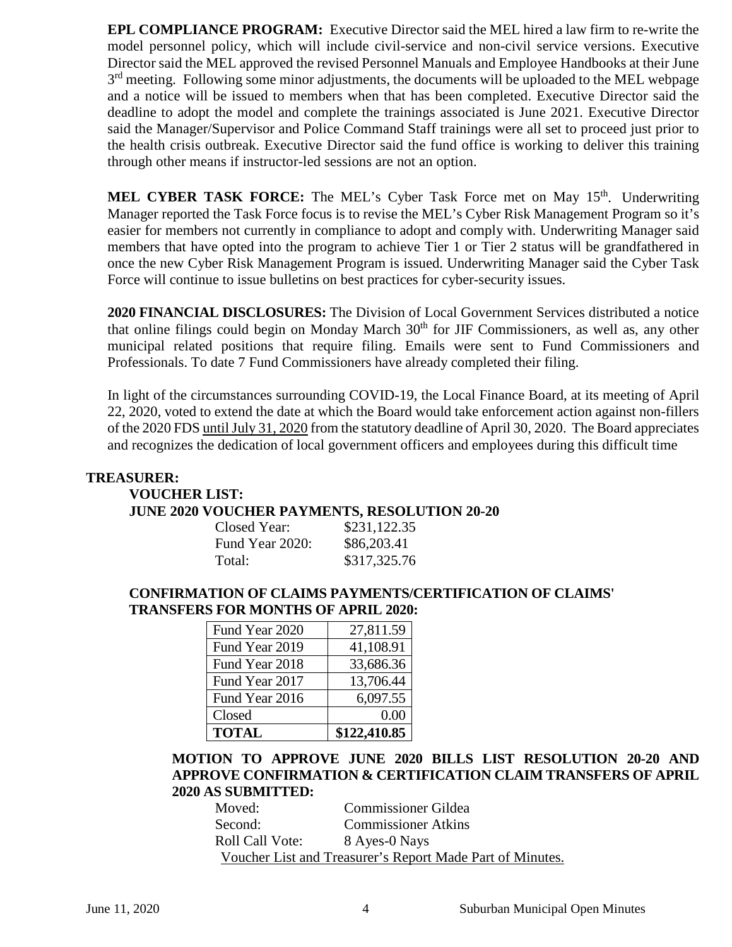**EPL COMPLIANCE PROGRAM:** Executive Director said the MEL hired a law firm to re-write the model personnel policy, which will include civil-service and non-civil service versions. Executive Director said the MEL approved the revised Personnel Manuals and Employee Handbooks at their June  $3<sup>rd</sup>$  meeting. Following some minor adjustments, the documents will be uploaded to the MEL webpage and a notice will be issued to members when that has been completed. Executive Director said the deadline to adopt the model and complete the trainings associated is June 2021. Executive Director said the Manager/Supervisor and Police Command Staff trainings were all set to proceed just prior to the health crisis outbreak. Executive Director said the fund office is working to deliver this training through other means if instructor-led sessions are not an option.

**MEL CYBER TASK FORCE:** The MEL's Cyber Task Force met on May 15<sup>th</sup>. Underwriting Manager reported the Task Force focus is to revise the MEL's Cyber Risk Management Program so it's easier for members not currently in compliance to adopt and comply with. Underwriting Manager said members that have opted into the program to achieve Tier 1 or Tier 2 status will be grandfathered in once the new Cyber Risk Management Program is issued. Underwriting Manager said the Cyber Task Force will continue to issue bulletins on best practices for cyber-security issues.

**2020 FINANCIAL DISCLOSURES:** The Division of Local Government Services distributed a notice that online filings could begin on Monday March 30<sup>th</sup> for JIF Commissioners, as well as, any other municipal related positions that require filing. Emails were sent to Fund Commissioners and Professionals. To date 7 Fund Commissioners have already completed their filing.

In light of the circumstances surrounding COVID-19, the Local Finance Board, at its meeting of April 22, 2020, voted to extend the date at which the Board would take enforcement action against non-fillers of the 2020 FDS until July 31, 2020 from the statutory deadline of April 30, 2020. The Board appreciates and recognizes the dedication of local government officers and employees during this difficult time

#### **TREASURER:**

## **VOUCHER LIST: JUNE 2020 VOUCHER PAYMENTS, RESOLUTION 20-20**

| , occamination (19, 1990) |              |
|---------------------------|--------------|
| Closed Year:              | \$231,122.35 |
| Fund Year 2020:           | \$86,203.41  |
| Total:                    | \$317,325.76 |

## **CONFIRMATION OF CLAIMS PAYMENTS/CERTIFICATION OF CLAIMS' TRANSFERS FOR MONTHS OF APRIL 2020:**

| Fund Year 2020 | 27,811.59    |
|----------------|--------------|
| Fund Year 2019 | 41,108.91    |
| Fund Year 2018 | 33,686.36    |
| Fund Year 2017 | 13,706.44    |
| Fund Year 2016 | 6,097.55     |
| Closed         | 0.00         |
| <b>TOTAL</b>   | \$122,410.85 |

## **MOTION TO APPROVE JUNE 2020 BILLS LIST RESOLUTION 20-20 AND APPROVE CONFIRMATION & CERTIFICATION CLAIM TRANSFERS OF APRIL 2020 AS SUBMITTED:**

| Moved:                 | <b>Commissioner Gildea</b>                                |
|------------------------|-----------------------------------------------------------|
| Second:                | <b>Commissioner Atkins</b>                                |
| <b>Roll Call Vote:</b> | 8 Ayes-0 Nays                                             |
|                        | Voucher List and Treasurer's Report Made Part of Minutes. |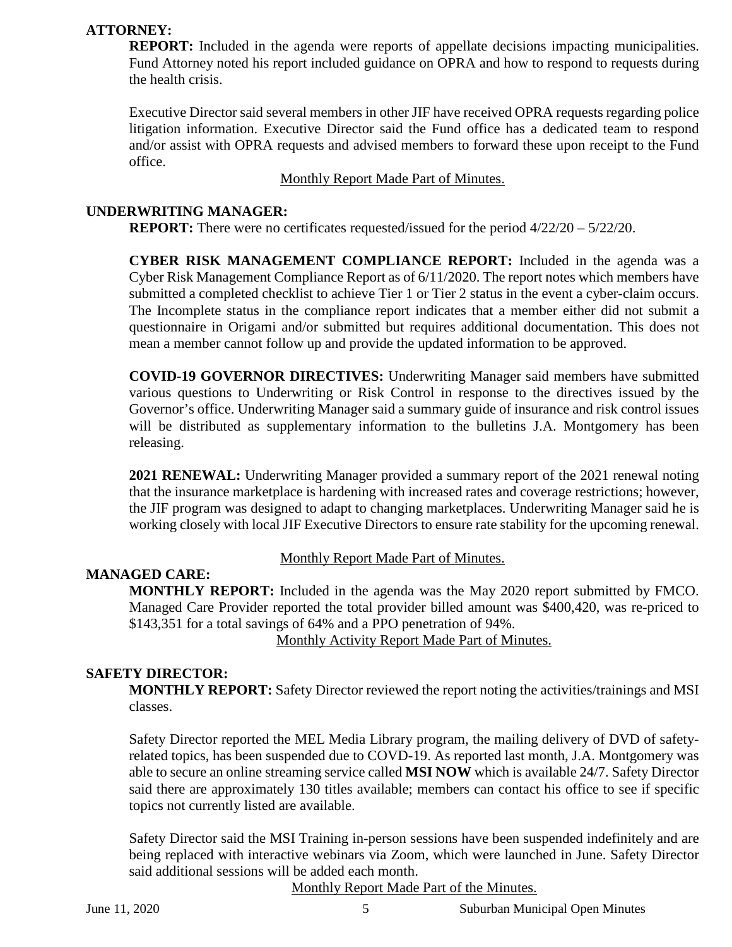## **ATTORNEY:**

**REPORT:** Included in the agenda were reports of appellate decisions impacting municipalities. Fund Attorney noted his report included guidance on OPRA and how to respond to requests during the health crisis.

Executive Director said several members in other JIF have received OPRA requests regarding police litigation information. Executive Director said the Fund office has a dedicated team to respond and/or assist with OPRA requests and advised members to forward these upon receipt to the Fund office.

Monthly Report Made Part of Minutes.

## **UNDERWRITING MANAGER:**

**REPORT:** There were no certificates requested/issued for the period 4/22/20 – 5/22/20.

**CYBER RISK MANAGEMENT COMPLIANCE REPORT:** Included in the agenda was a Cyber Risk Management Compliance Report as of 6/11/2020. The report notes which members have submitted a completed checklist to achieve Tier 1 or Tier 2 status in the event a cyber-claim occurs. The Incomplete status in the compliance report indicates that a member either did not submit a questionnaire in Origami and/or submitted but requires additional documentation. This does not mean a member cannot follow up and provide the updated information to be approved.

**COVID-19 GOVERNOR DIRECTIVES:** Underwriting Manager said members have submitted various questions to Underwriting or Risk Control in response to the directives issued by the Governor's office. Underwriting Manager said a summary guide of insurance and risk control issues will be distributed as supplementary information to the bulletins J.A. Montgomery has been releasing.

**2021 RENEWAL:** Underwriting Manager provided a summary report of the 2021 renewal noting that the insurance marketplace is hardening with increased rates and coverage restrictions; however, the JIF program was designed to adapt to changing marketplaces. Underwriting Manager said he is working closely with local JIF Executive Directors to ensure rate stability for the upcoming renewal.

# Monthly Report Made Part of Minutes.

## **MANAGED CARE:**

**MONTHLY REPORT:** Included in the agenda was the May 2020 report submitted by FMCO. Managed Care Provider reported the total provider billed amount was \$400,420, was re-priced to \$143,351 for a total savings of 64% and a PPO penetration of 94%.

Monthly Activity Report Made Part of Minutes.

## **SAFETY DIRECTOR:**

**MONTHLY REPORT:** Safety Director reviewed the report noting the activities/trainings and MSI classes.

Safety Director reported the MEL Media Library program, the mailing delivery of DVD of safetyrelated topics, has been suspended due to COVD-19. As reported last month, J.A. Montgomery was able to secure an online streaming service called **MSI NOW** which is available 24/7. Safety Director said there are approximately 130 titles available; members can contact his office to see if specific topics not currently listed are available.

Safety Director said the MSI Training in-person sessions have been suspended indefinitely and are being replaced with interactive webinars via Zoom, which were launched in June. Safety Director said additional sessions will be added each month.

Monthly Report Made Part of the Minutes.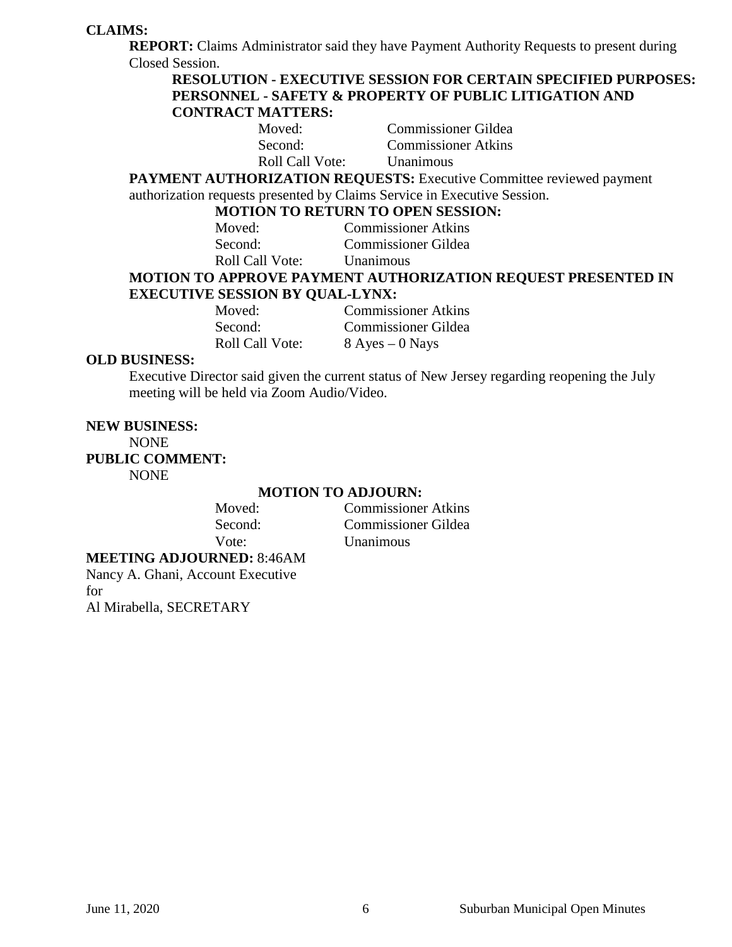## **CLAIMS:**

**REPORT:** Claims Administrator said they have Payment Authority Requests to present during Closed Session.

## **RESOLUTION - EXECUTIVE SESSION FOR CERTAIN SPECIFIED PURPOSES: PERSONNEL - SAFETY & PROPERTY OF PUBLIC LITIGATION AND CONTRACT MATTERS:**

| Moved:          | Commissioner Gildea        |
|-----------------|----------------------------|
| Second:         | <b>Commissioner Atkins</b> |
| Roll Call Vote: | <b>Unanimous</b>           |

**PAYMENT AUTHORIZATION REQUESTS:** Executive Committee reviewed payment authorization requests presented by Claims Service in Executive Session.

#### **MOTION TO RETURN TO OPEN SESSION:**

| <u>MOTION TO MOTORN TO OF BITUBOUR</u> |
|----------------------------------------|
| <b>Commissioner Atkins</b>             |
| <b>Commissioner Gildea</b>             |
| <b>Unanimous</b>                       |
|                                        |

## **MOTION TO APPROVE PAYMENT AUTHORIZATION REQUEST PRESENTED IN EXECUTIVE SESSION BY QUAL-LYNX:**

| Moved:          | <b>Commissioner Atkins</b> |
|-----------------|----------------------------|
| Second:         | <b>Commissioner Gildea</b> |
| Roll Call Vote: | $8$ Ayes $-0$ Nays         |

#### **OLD BUSINESS:**

Executive Director said given the current status of New Jersey regarding reopening the July meeting will be held via Zoom Audio/Video.

# **NEW BUSINESS:**

NONE **PUBLIC COMMENT:** 

NONE

#### **MOTION TO ADJOURN:**

| Moved:  |  |
|---------|--|
| Second: |  |
| Vote:   |  |

**Commissioner Atkins** Commissioner Gildea Unanimous

## **MEETING ADJOURNED:** 8:46AM

Nancy A. Ghani, Account Executive for Al Mirabella, SECRETARY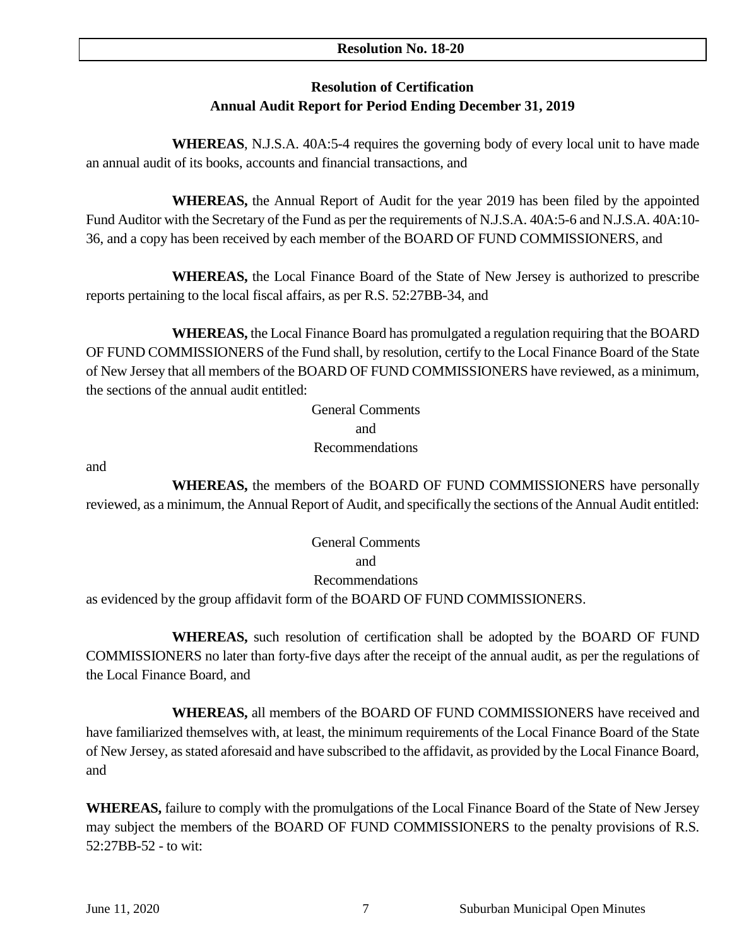## **Resolution No. 18-20**

## **Resolution of Certification Annual Audit Report for Period Ending December 31, 2019**

**WHEREAS**, N.J.S.A. 40A:5-4 requires the governing body of every local unit to have made an annual audit of its books, accounts and financial transactions, and

**WHEREAS,** the Annual Report of Audit for the year 2019 has been filed by the appointed Fund Auditor with the Secretary of the Fund as per the requirements of N.J.S.A. 40A:5-6 and N.J.S.A. 40A:10- 36, and a copy has been received by each member of the BOARD OF FUND COMMISSIONERS, and

**WHEREAS,** the Local Finance Board of the State of New Jersey is authorized to prescribe reports pertaining to the local fiscal affairs, as per R.S. 52:27BB-34, and

**WHEREAS,** the Local Finance Board has promulgated a regulation requiring that the BOARD OF FUND COMMISSIONERS of the Fund shall, by resolution, certify to the Local Finance Board of the State of New Jersey that all members of the BOARD OF FUND COMMISSIONERS have reviewed, as a minimum, the sections of the annual audit entitled:

> General Comments and Recommendations

and

**WHEREAS,** the members of the BOARD OF FUND COMMISSIONERS have personally reviewed, as a minimum, the Annual Report of Audit, and specifically the sections of the Annual Audit entitled:

> General Comments and Recommendations

as evidenced by the group affidavit form of the BOARD OF FUND COMMISSIONERS.

**WHEREAS,** such resolution of certification shall be adopted by the BOARD OF FUND COMMISSIONERS no later than forty-five days after the receipt of the annual audit, as per the regulations of the Local Finance Board, and

**WHEREAS,** all members of the BOARD OF FUND COMMISSIONERS have received and have familiarized themselves with, at least, the minimum requirements of the Local Finance Board of the State of New Jersey, as stated aforesaid and have subscribed to the affidavit, as provided by the Local Finance Board, and

**WHEREAS,** failure to comply with the promulgations of the Local Finance Board of the State of New Jersey may subject the members of the BOARD OF FUND COMMISSIONERS to the penalty provisions of R.S. 52:27BB-52 - to wit: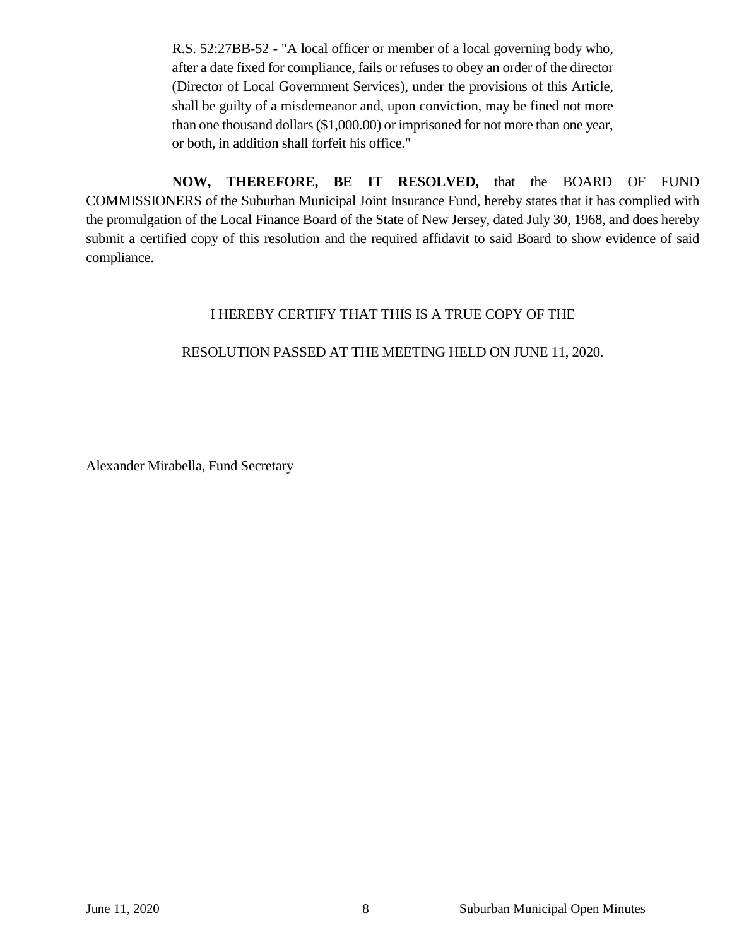R.S. 52:27BB-52 - "A local officer or member of a local governing body who, after a date fixed for compliance, fails or refuses to obey an order of the director (Director of Local Government Services), under the provisions of this Article, shall be guilty of a misdemeanor and, upon conviction, may be fined not more than one thousand dollars (\$1,000.00) or imprisoned for not more than one year, or both, in addition shall forfeit his office."

**NOW, THEREFORE, BE IT RESOLVED,** that the BOARD OF FUND COMMISSIONERS of the Suburban Municipal Joint Insurance Fund, hereby states that it has complied with the promulgation of the Local Finance Board of the State of New Jersey, dated July 30, 1968, and does hereby submit a certified copy of this resolution and the required affidavit to said Board to show evidence of said compliance.

## I HEREBY CERTIFY THAT THIS IS A TRUE COPY OF THE

## RESOLUTION PASSED AT THE MEETING HELD ON JUNE 11, 2020.

Alexander Mirabella, Fund Secretary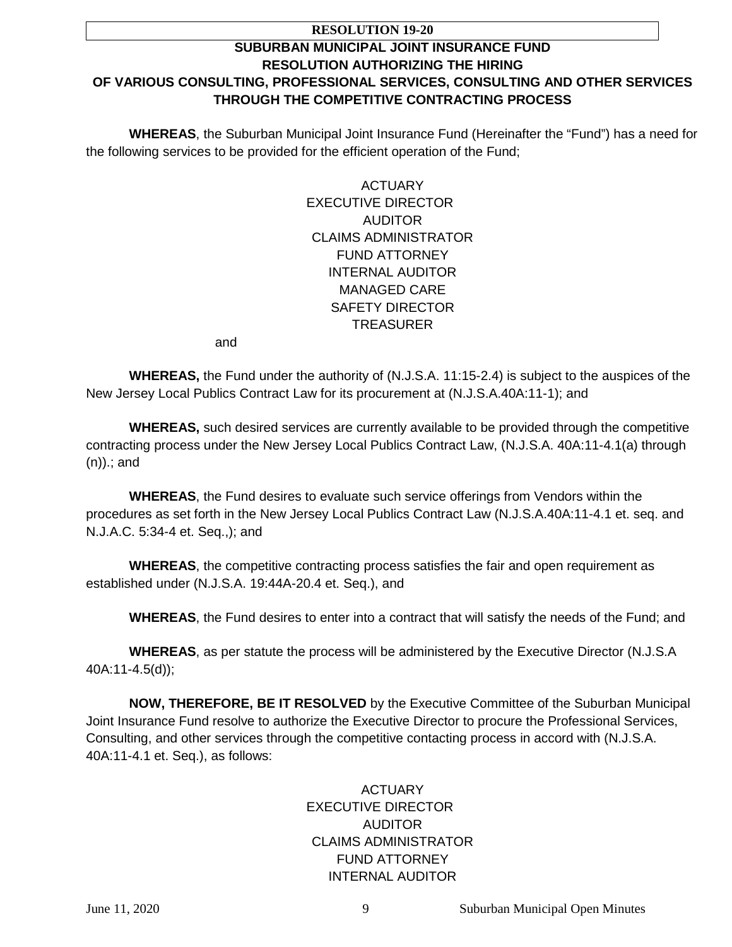#### **RESOLUTION 19-20**

## **SUBURBAN MUNICIPAL JOINT INSURANCE FUND RESOLUTION AUTHORIZING THE HIRING OF VARIOUS CONSULTING, PROFESSIONAL SERVICES, CONSULTING AND OTHER SERVICES THROUGH THE COMPETITIVE CONTRACTING PROCESS**

**WHEREAS**, the Suburban Municipal Joint Insurance Fund (Hereinafter the "Fund") has a need for the following services to be provided for the efficient operation of the Fund;

> **ACTUARY** EXECUTIVE DIRECTOR AUDITOR CLAIMS ADMINISTRATOR FUND ATTORNEY INTERNAL AUDITOR MANAGED CARE SAFETY DIRECTOR **TREASURER**

and

**WHEREAS,** the Fund under the authority of (N.J.S.A. 11:15-2.4) is subject to the auspices of the New Jersey Local Publics Contract Law for its procurement at (N.J.S.A.40A:11-1); and

**WHEREAS,** such desired services are currently available to be provided through the competitive contracting process under the New Jersey Local Publics Contract Law, (N.J.S.A. 40A:11-4.1(a) through (n)).; and

**WHEREAS**, the Fund desires to evaluate such service offerings from Vendors within the procedures as set forth in the New Jersey Local Publics Contract Law (N.J.S.A.40A:11-4.1 et. seq. and N.J.A.C. 5:34-4 et. Seq.,); and

**WHEREAS**, the competitive contracting process satisfies the fair and open requirement as established under (N.J.S.A. 19:44A-20.4 et. Seq.), and

**WHEREAS**, the Fund desires to enter into a contract that will satisfy the needs of the Fund; and

**WHEREAS**, as per statute the process will be administered by the Executive Director (N.J.S.A 40A:11-4.5(d));

**NOW, THEREFORE, BE IT RESOLVED** by the Executive Committee of the Suburban Municipal Joint Insurance Fund resolve to authorize the Executive Director to procure the Professional Services, Consulting, and other services through the competitive contacting process in accord with (N.J.S.A. 40A:11-4.1 et. Seq.), as follows:

## ACTUARY EXECUTIVE DIRECTOR AUDITOR CLAIMS ADMINISTRATOR FUND ATTORNEY INTERNAL AUDITOR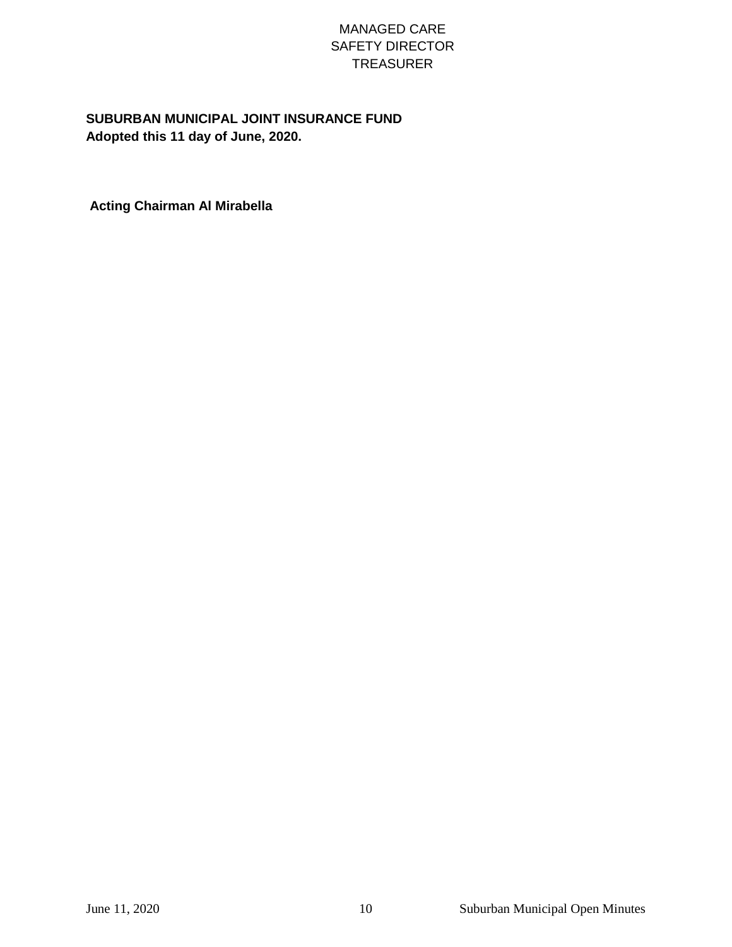## MANAGED CARE SAFETY DIRECTOR TREASURER

## **SUBURBAN MUNICIPAL JOINT INSURANCE FUND Adopted this 11 day of June, 2020.**

**Acting Chairman Al Mirabella**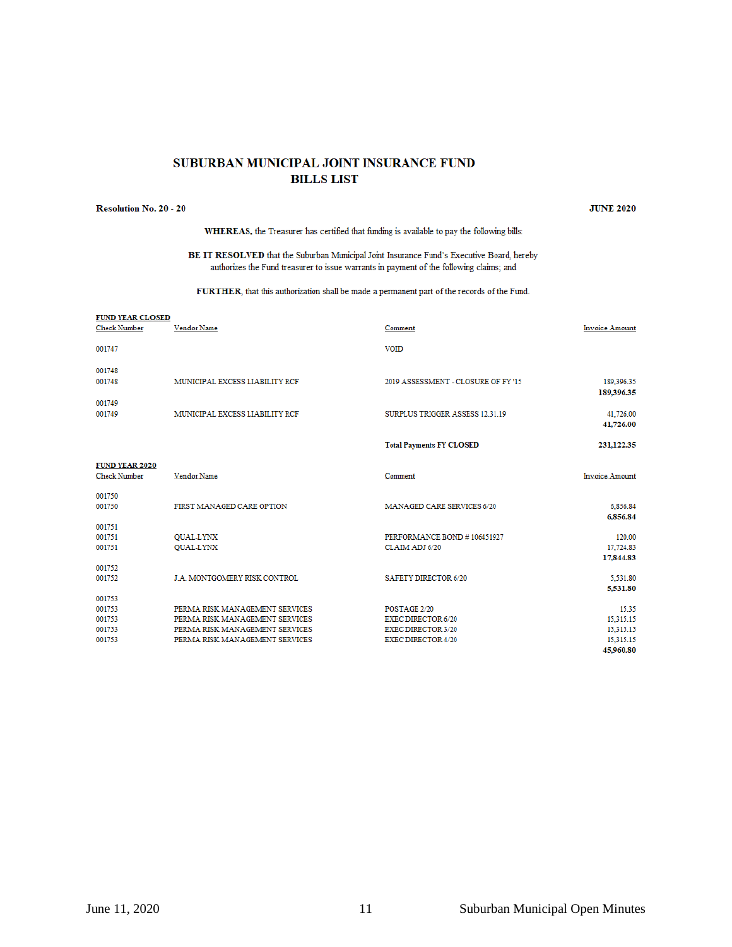#### SUBURBAN MUNICIPAL JOINT INSURANCE FUND **BILLS LIST**

#### **Resolution No. 20 - 20**

 $\frac{1}{2}$ 

**JUNE 2020** 

WHEREAS, the Treasurer has certified that funding is available to pay the following bills:

BE IT RESOLVED that the Suburban Municipal Joint Insurance Fund's Executive Board, hereby authorizes the Fund treasurer to issue warrants in payment of the following claims; and

FURTHER, that this authorization shall be made a permanent part of the records of the Fund.

| <b>FUND YEAR CLOSED</b><br><b>Check Number</b> | Vendor Name                         | Comment                            | <b>Invoice Amount</b>    |
|------------------------------------------------|-------------------------------------|------------------------------------|--------------------------|
| 001747                                         |                                     | <b>VOID</b>                        |                          |
| 001748                                         |                                     |                                    |                          |
| 001748                                         | MUNICIPAL EXCESS LIABILITY RCF      | 2019 ASSESSMENT - CLOSURE OF FY'15 | 189,396.35<br>189,396.35 |
| 001749                                         | MUNICIPAL EXCESS LIABILITY RCF      | SURPLUS TRIGGER ASSESS 12.31.19    |                          |
| 001749                                         |                                     |                                    | 41,726.00<br>41,726.00   |
|                                                |                                     | <b>Total Payments FY CLOSED</b>    | 231,122.35               |
| <b>FUND YEAR 2020</b>                          |                                     |                                    |                          |
| <b>Check Number</b>                            | Vendor Name                         | Comment                            | <b>Invoice Amount</b>    |
| 001750                                         |                                     |                                    |                          |
| 001750                                         | FIRST MANAGED CARE OPTION           | <b>MANAGED CARE SERVICES 6/20</b>  | 6,856.84<br>6,856.84     |
| 001751                                         |                                     |                                    |                          |
| 001751                                         | QUAL-LYNX                           | PERFORMANCE BOND #106451927        | 120.00                   |
| 001751                                         | <b>QUAL-LYNX</b>                    | CLAIM ADJ 6/20                     | 17,724.83<br>17,844.83   |
| 001752                                         |                                     |                                    |                          |
| 001752                                         | <b>J.A. MONTGOMERY RISK CONTROL</b> | <b>SAFETY DIRECTOR 6/20</b>        | 5,531.80                 |
| 001753                                         |                                     |                                    | 5,531.80                 |
| 001753                                         | PERMA RISK MANAGEMENT SERVICES      | POSTAGE 2/20                       | 15.35                    |
| 001753                                         | PERMA RISK MANAGEMENT SERVICES      | <b>EXEC DIRECTOR 6/20</b>          | 15,315.15                |
| 001753                                         | PERMA RISK MANAGEMENT SERVICES      | <b>EXEC DIRECTOR 3/20</b>          | 15,315.15                |
| 001753                                         | PERMA RISK MANAGEMENT SERVICES      | <b>EXEC DIRECTOR 4/20</b>          | 15,315.15                |
|                                                |                                     |                                    | 45,960.80                |